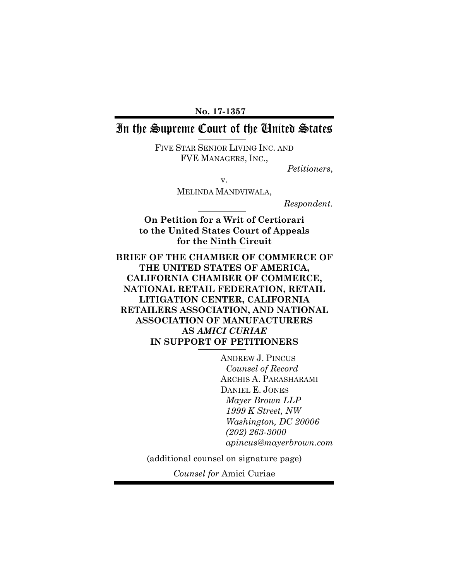**No. 17-1357**

# In the Supreme Court of the United States

FIVE STAR SENIOR LIVING INC. AND FVE MANAGERS, INC.,

*Petitioners*,

v.

MELINDA MANDVIWALA,

*Respondent.*

**On Petition for a Writ of Certiorari to the United States Court of Appeals for the Ninth Circuit**

**BRIEF OF THE CHAMBER OF COMMERCE OF THE UNITED STATES OF AMERICA, CALIFORNIA CHAMBER OF COMMERCE, NATIONAL RETAIL FEDERATION, RETAIL LITIGATION CENTER, CALIFORNIA RETAILERS ASSOCIATION, AND NATIONAL ASSOCIATION OF MANUFACTURERS AS** *AMICI CURIAE* **IN SUPPORT OF PETITIONERS**

> ANDREW J. PINCUS *Counsel of Record* ARCHIS A. PARASHARAMI DANIEL E. JONES *Mayer Brown LLP 1999 K Street, NW Washington, DC 20006 (202) 263-3000 apincus@mayerbrown.com*

(additional counsel on signature page)

*Counsel for* Amici Curiae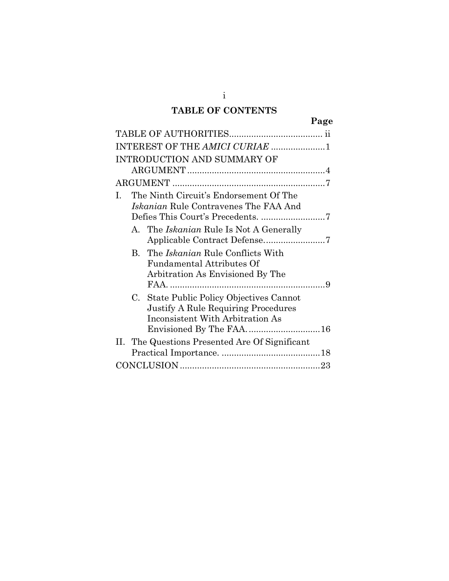# **TABLE OF CONTENTS**

i

| ים<br>г.<br>n<br>┍<br>г. |
|--------------------------|
|--------------------------|

| INTEREST OF THE AMICI CURIAE 1                                                                                             |  |
|----------------------------------------------------------------------------------------------------------------------------|--|
| INTRODUCTION AND SUMMARY OF                                                                                                |  |
|                                                                                                                            |  |
|                                                                                                                            |  |
| The Ninth Circuit's Endorsement Of The<br>$\mathbf{L}$<br><i>Iskanian</i> Rule Contravenes The FAA And                     |  |
| A. The Iskanian Rule Is Not A Generally                                                                                    |  |
| B. The <i>Iskanian</i> Rule Conflicts With<br><b>Fundamental Attributes Of</b><br>Arbitration As Envisioned By The         |  |
| C. State Public Policy Objectives Cannot<br><b>Justify A Rule Requiring Procedures</b><br>Inconsistent With Arbitration As |  |
| II. The Questions Presented Are Of Significant                                                                             |  |
|                                                                                                                            |  |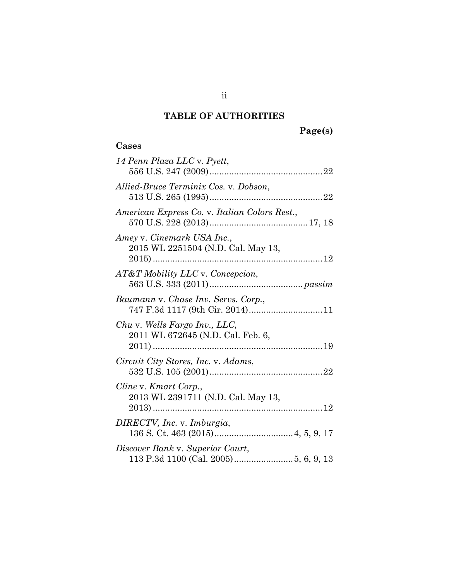# **TABLE OF AUTHORITIES**

# **Page(s)**

### **Cases**

| 14 Penn Plaza LLC v. Pyett,                                            |
|------------------------------------------------------------------------|
| Allied-Bruce Terminix Cos. v. Dobson,                                  |
| American Express Co. v. Italian Colors Rest.,                          |
| Amey v. Cinemark USA Inc.,<br>2015 WL 2251504 (N.D. Cal. May 13,       |
| AT&T Mobility LLC v. Concepcion,                                       |
| Baumann v. Chase Inv. Servs. Corp.,<br>747 F.3d 1117 (9th Cir. 2014)11 |
| Chu v. Wells Fargo Inv., LLC,<br>2011 WL 672645 (N.D. Cal. Feb. 6,     |
| Circuit City Stores, Inc. v. Adams,                                    |
| Cline v. Kmart Corp.,<br>2013 WL 2391711 (N.D. Cal. May 13,            |
| DIRECTV, Inc. v. Imburgia,                                             |
| Discover Bank v. Superior Court,                                       |

ii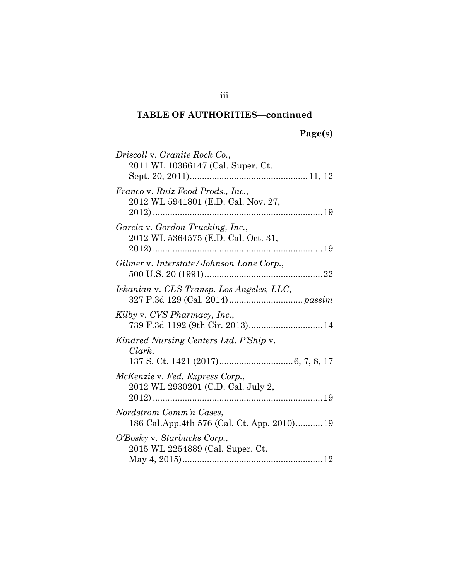# **Page(s)**

| Driscoll v. Granite Rock Co.,                                            |  |
|--------------------------------------------------------------------------|--|
| 2011 WL 10366147 (Cal. Super. Ct.                                        |  |
| Franco v. Ruiz Food Prods., Inc.,<br>2012 WL 5941801 (E.D. Cal. Nov. 27, |  |
| Garcia v. Gordon Trucking, Inc.,<br>2012 WL 5364575 (E.D. Cal. Oct. 31,  |  |
| Gilmer v. Interstate/Johnson Lane Corp.,                                 |  |
| Iskanian v. CLS Transp. Los Angeles, LLC,                                |  |
| Kilby v. CVS Pharmacy, Inc.,<br>739 F.3d 1192 (9th Cir. 2013) 14         |  |
| Kindred Nursing Centers Ltd. P'Ship v.<br>Clark,                         |  |
| McKenzie v. Fed. Express Corp.,<br>2012 WL 2930201 (C.D. Cal. July 2,    |  |
| Nordstrom Comm'n Cases,<br>186 Cal.App.4th 576 (Cal. Ct. App. 2010)19    |  |
| O'Bosky v. Starbucks Corp.,<br>2015 WL 2254889 (Cal. Super. Ct.          |  |

iii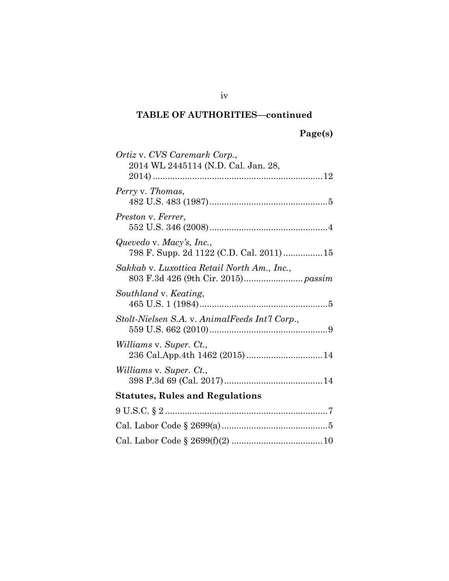| Ortiz v. CVS Caremark Corp.,                   |  |
|------------------------------------------------|--|
| 2014 WL 2445114 (N.D. Cal. Jan. 28,            |  |
|                                                |  |
| Perry v. Thomas,                               |  |
|                                                |  |
| Preston v. Ferrer,                             |  |
|                                                |  |
| Quevedo v. Macy's, Inc.,                       |  |
| 798 F. Supp. 2d 1122 (C.D. Cal. 2011) 15       |  |
| Sakkab v. Luxottica Retail North Am., Inc.,    |  |
|                                                |  |
| Southland v. Keating,                          |  |
|                                                |  |
| Stolt-Nielsen S.A. v. AnimalFeeds Int'l Corp., |  |
|                                                |  |
| Williams v. Super. Ct.,                        |  |
| 236 Cal.App.4th 1462 (2015) 14                 |  |
| <i>Williams v. Super. Ct.,</i>                 |  |
|                                                |  |
| <b>Statutes, Rules and Regulations</b>         |  |
|                                                |  |
|                                                |  |
|                                                |  |
|                                                |  |

iv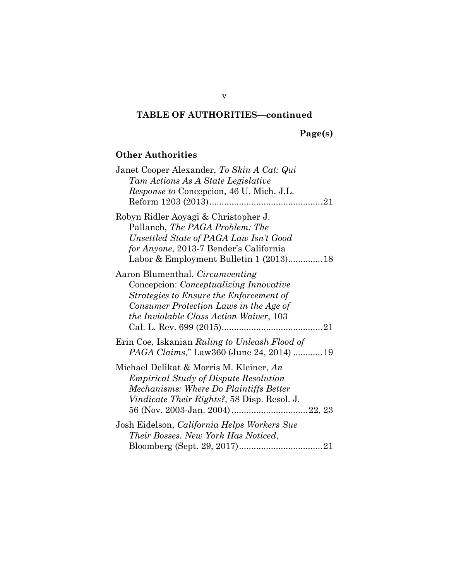|  |  | age(s) |  |
|--|--|--------|--|
|  |  |        |  |

## **Other Authorities**

| Janet Cooper Alexander, To Skin A Cat: Qui<br>Tam Actions As A State Legislative<br>Response to Concepcion, 46 U. Mich. J.L.                                                                                                    |
|---------------------------------------------------------------------------------------------------------------------------------------------------------------------------------------------------------------------------------|
| Robyn Ridler Aoyagi & Christopher J.<br>Pallanch, The PAGA Problem: The<br>Unsettled State of PAGA Law Isn't Good<br>for Anyone, 2013-7 Bender's California<br>Labor & Employment Bulletin 1 (2013)18                           |
| Aaron Blumenthal, <i>Circumventing</i><br>Concepcion: <i>Conceptualizing Innovative</i><br>Strategies to Ensure the Enforcement of<br>Consumer Protection Laws in the Age of<br><i>the Inviolable Class Action Waiver</i> , 103 |
| Erin Coe, Iskanian Ruling to Unleash Flood of<br>PAGA Claims," Law360 (June 24, 2014) 19                                                                                                                                        |
| Michael Delikat & Morris M. Kleiner, An<br><i>Empirical Study of Dispute Resolution</i><br>Mechanisms: Where Do Plaintiffs Better<br><i>Vindicate Their Rights?,</i> 58 Disp. Resol. J.                                         |
| Josh Eidelson, California Helps Workers Sue<br>Their Bosses. New York Has Noticed,                                                                                                                                              |

v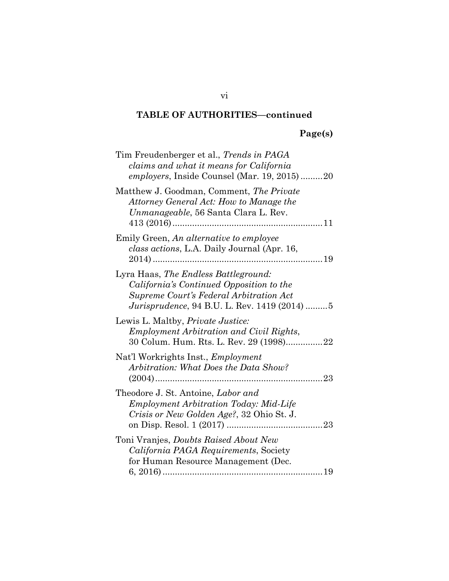# **Page(s)**

| Tim Freudenberger et al., Trends in PAGA<br>claims and what it means for California<br><i>employers</i> , Inside Counsel (Mar. 19, 2015)20                                          |
|-------------------------------------------------------------------------------------------------------------------------------------------------------------------------------------|
| Matthew J. Goodman, Comment, The Private<br>Attorney General Act: How to Manage the<br>Unmanageable, 56 Santa Clara L. Rev.                                                         |
| Emily Green, An alternative to employee<br><i>class actions</i> , L.A. Daily Journal (Apr. 16,                                                                                      |
| Lyra Haas, The Endless Battleground:<br>California's Continued Opposition to the<br>Supreme Court's Federal Arbitration Act<br><i>Jurisprudence</i> , 94 B.U. L. Rev. 1419 (2014) 5 |
| Lewis L. Maltby, <i>Private Justice</i> :<br>Employment Arbitration and Civil Rights,<br>30 Colum. Hum. Rts. L. Rev. 29 (1998)22                                                    |
| Nat'l Workrights Inst., <i>Employment</i><br>Arbitration: What Does the Data Show?<br>23                                                                                            |
| Theodore J. St. Antoine, Labor and<br><b>Employment Arbitration Today: Mid-Life</b><br><i>Crisis or New Golden Age?, 32 Ohio St. J.</i>                                             |
| Toni Vranjes, <i>Doubts Raised About New</i><br>California PAGA Requirements, Society<br>for Human Resource Management (Dec.                                                        |

vi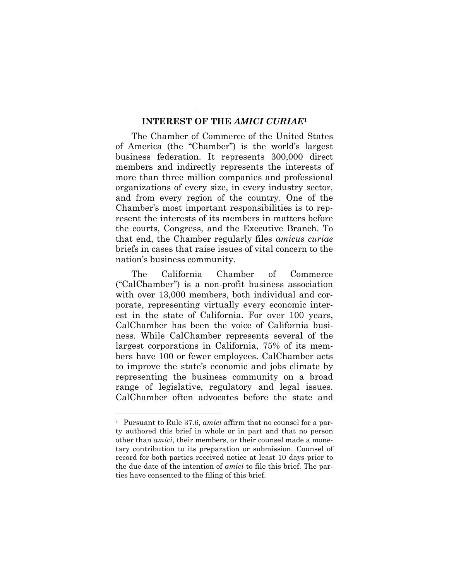#### **INTEREST OF THE** *AMICI CURIAE***<sup>1</sup>**

The Chamber of Commerce of the United States of America (the "Chamber") is the world's largest business federation. It represents 300,000 direct members and indirectly represents the interests of more than three million companies and professional organizations of every size, in every industry sector, and from every region of the country. One of the Chamber's most important responsibilities is to represent the interests of its members in matters before the courts, Congress, and the Executive Branch. To that end, the Chamber regularly files *amicus curiae* briefs in cases that raise issues of vital concern to the nation's business community.

The California Chamber of Commerce ("CalChamber") is a non-profit business association with over 13,000 members, both individual and corporate, representing virtually every economic interest in the state of California. For over 100 years, CalChamber has been the voice of California business. While CalChamber represents several of the largest corporations in California, 75% of its members have 100 or fewer employees. CalChamber acts to improve the state's economic and jobs climate by representing the business community on a broad range of legislative, regulatory and legal issues. CalChamber often advocates before the state and

<sup>1</sup> Pursuant to Rule 37.6, *amici* affirm that no counsel for a party authored this brief in whole or in part and that no person other than *amici*, their members, or their counsel made a monetary contribution to its preparation or submission. Counsel of record for both parties received notice at least 10 days prior to the due date of the intention of *amici* to file this brief. The parties have consented to the filing of this brief.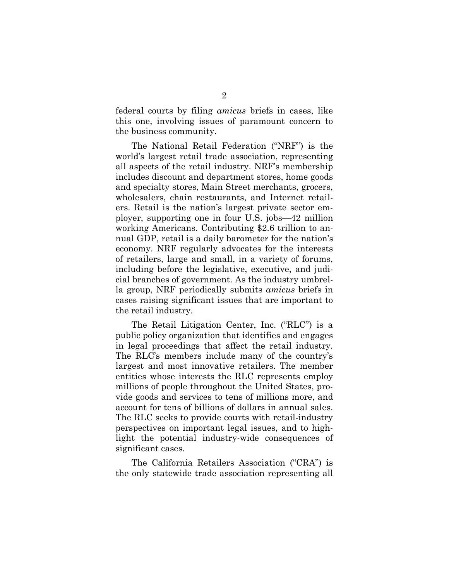federal courts by filing *amicus* briefs in cases, like this one, involving issues of paramount concern to the business community.

The National Retail Federation ("NRF") is the world's largest retail trade association, representing all aspects of the retail industry. NRF's membership includes discount and department stores, home goods and specialty stores, Main Street merchants, grocers, wholesalers, chain restaurants, and Internet retailers. Retail is the nation's largest private sector employer, supporting one in four U.S. jobs—42 million working Americans. Contributing \$2.6 trillion to annual GDP, retail is a daily barometer for the nation's economy. NRF regularly advocates for the interests of retailers, large and small, in a variety of forums, including before the legislative, executive, and judicial branches of government. As the industry umbrella group, NRF periodically submits *amicus* briefs in cases raising significant issues that are important to the retail industry.

The Retail Litigation Center, Inc. ("RLC") is a public policy organization that identifies and engages in legal proceedings that affect the retail industry. The RLC's members include many of the country's largest and most innovative retailers. The member entities whose interests the RLC represents employ millions of people throughout the United States, provide goods and services to tens of millions more, and account for tens of billions of dollars in annual sales. The RLC seeks to provide courts with retail-industry perspectives on important legal issues, and to highlight the potential industry-wide consequences of significant cases.

The California Retailers Association ("CRA") is the only statewide trade association representing all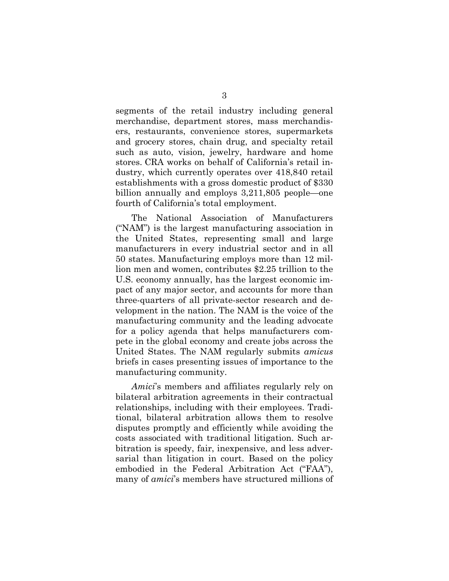segments of the retail industry including general merchandise, department stores, mass merchandisers, restaurants, convenience stores, supermarkets and grocery stores, chain drug, and specialty retail such as auto, vision, jewelry, hardware and home stores. CRA works on behalf of California's retail industry, which currently operates over 418,840 retail establishments with a gross domestic product of \$330 billion annually and employs 3,211,805 people—one fourth of California's total employment.

The National Association of Manufacturers ("NAM") is the largest manufacturing association in the United States, representing small and large manufacturers in every industrial sector and in all 50 states. Manufacturing employs more than 12 million men and women, contributes \$2.25 trillion to the U.S. economy annually, has the largest economic impact of any major sector, and accounts for more than three-quarters of all private-sector research and development in the nation. The NAM is the voice of the manufacturing community and the leading advocate for a policy agenda that helps manufacturers compete in the global economy and create jobs across the United States. The NAM regularly submits *amicus* briefs in cases presenting issues of importance to the manufacturing community.

*Amici*'s members and affiliates regularly rely on bilateral arbitration agreements in their contractual relationships, including with their employees. Traditional, bilateral arbitration allows them to resolve disputes promptly and efficiently while avoiding the costs associated with traditional litigation. Such arbitration is speedy, fair, inexpensive, and less adversarial than litigation in court. Based on the policy embodied in the Federal Arbitration Act ("FAA"), many of *amici*'s members have structured millions of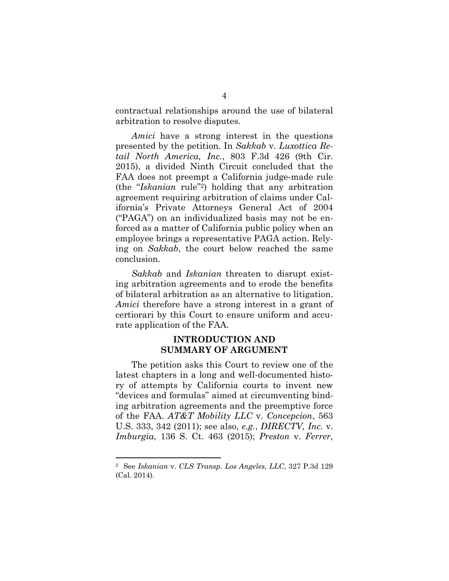contractual relationships around the use of bilateral arbitration to resolve disputes.

*Amici* have a strong interest in the questions presented by the petition. In *Sakkab* v. *Luxottica Retail North America, Inc.*, 803 F.3d 426 (9th Cir. 2015), a divided Ninth Circuit concluded that the FAA does not preempt a California judge-made rule (the "*Iskanian* rule"2) holding that any arbitration agreement requiring arbitration of claims under California's Private Attorneys General Act of 2004 ("PAGA") on an individualized basis may not be enforced as a matter of California public policy when an employee brings a representative PAGA action. Relying on *Sakkab*, the court below reached the same conclusion.

*Sakkab* and *Iskanian* threaten to disrupt existing arbitration agreements and to erode the benefits of bilateral arbitration as an alternative to litigation. *Amici* therefore have a strong interest in a grant of certiorari by this Court to ensure uniform and accurate application of the FAA.

### **INTRODUCTION AND SUMMARY OF ARGUMENT**

The petition asks this Court to review one of the latest chapters in a long and well-documented history of attempts by California courts to invent new "devices and formulas" aimed at circumventing binding arbitration agreements and the preemptive force of the FAA. *AT&T Mobility LLC* v. *Concepcion*, 563 U.S. 333, 342 (2011); see also, *e.g.*, *DIRECTV, Inc.* v. *Imburgia*, 136 S. Ct. 463 (2015); *Preston* v. *Ferrer*,

<sup>2</sup> See *Iskanian* v. *CLS Transp. Los Angeles, LLC*, 327 P.3d 129 (Cal. 2014).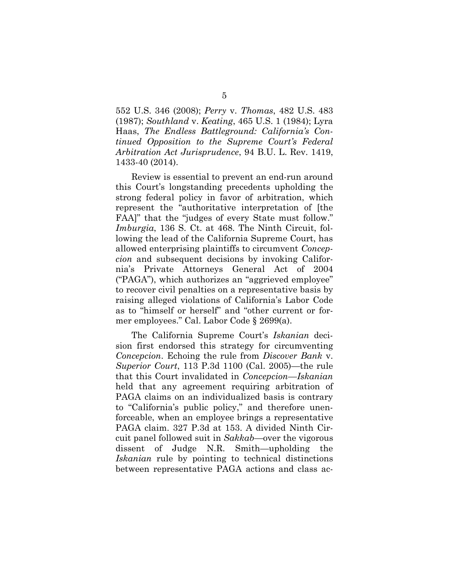552 U.S. 346 (2008); *Perry* v. *Thomas*, 482 U.S. 483 (1987); *Southland* v. *Keating*, 465 U.S. 1 (1984); Lyra Haas, *The Endless Battleground: California's Continued Opposition to the Supreme Court's Federal Arbitration Act Jurisprudence*, 94 B.U. L. Rev. 1419, 1433-40 (2014).

Review is essential to prevent an end-run around this Court's longstanding precedents upholding the strong federal policy in favor of arbitration, which represent the "authoritative interpretation of [the FAA]" that the "judges of every State must follow." *Imburgia*, 136 S. Ct. at 468. The Ninth Circuit, following the lead of the California Supreme Court, has allowed enterprising plaintiffs to circumvent *Concepcion* and subsequent decisions by invoking California's Private Attorneys General Act of 2004 ("PAGA"), which authorizes an "aggrieved employee" to recover civil penalties on a representative basis by raising alleged violations of California's Labor Code as to "himself or herself" and "other current or former employees." Cal. Labor Code § 2699(a).

The California Supreme Court's *Iskanian* decision first endorsed this strategy for circumventing *Concepcion*. Echoing the rule from *Discover Bank* v. *Superior Court*, 113 P.3d 1100 (Cal. 2005)—the rule that this Court invalidated in *Concepcion*—*Iskanian* held that any agreement requiring arbitration of PAGA claims on an individualized basis is contrary to "California's public policy," and therefore unenforceable, when an employee brings a representative PAGA claim. 327 P.3d at 153. A divided Ninth Circuit panel followed suit in *Sakkab*—over the vigorous dissent of Judge N.R. Smith—upholding the *Iskanian* rule by pointing to technical distinctions between representative PAGA actions and class ac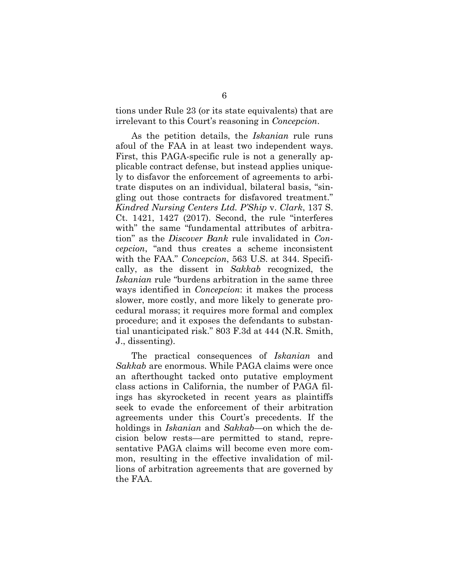tions under Rule 23 (or its state equivalents) that are irrelevant to this Court's reasoning in *Concepcion*.

As the petition details, the *Iskanian* rule runs afoul of the FAA in at least two independent ways. First, this PAGA-specific rule is not a generally applicable contract defense, but instead applies uniquely to disfavor the enforcement of agreements to arbitrate disputes on an individual, bilateral basis, "singling out those contracts for disfavored treatment." *Kindred Nursing Centers Ltd. P'Ship* v. *Clark*, 137 S. Ct. 1421, 1427 (2017). Second, the rule "interferes with" the same "fundamental attributes of arbitration" as the *Discover Bank* rule invalidated in *Concepcion*, "and thus creates a scheme inconsistent with the FAA." *Concepcion*, 563 U.S. at 344. Specifically, as the dissent in *Sakkab* recognized, the *Iskanian* rule "burdens arbitration in the same three ways identified in *Concepcion*: it makes the process slower, more costly, and more likely to generate procedural morass; it requires more formal and complex procedure; and it exposes the defendants to substantial unanticipated risk." 803 F.3d at 444 (N.R. Smith, J., dissenting).

The practical consequences of *Iskanian* and *Sakkab* are enormous. While PAGA claims were once an afterthought tacked onto putative employment class actions in California, the number of PAGA filings has skyrocketed in recent years as plaintiffs seek to evade the enforcement of their arbitration agreements under this Court's precedents. If the holdings in *Iskanian* and *Sakkab*—on which the decision below rests—are permitted to stand, representative PAGA claims will become even more common, resulting in the effective invalidation of millions of arbitration agreements that are governed by the FAA.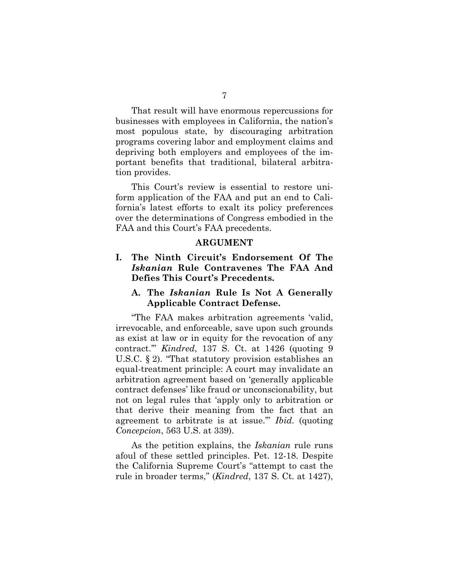That result will have enormous repercussions for businesses with employees in California, the nation's most populous state, by discouraging arbitration programs covering labor and employment claims and depriving both employers and employees of the important benefits that traditional, bilateral arbitration provides.

This Court's review is essential to restore uniform application of the FAA and put an end to California's latest efforts to exalt its policy preferences over the determinations of Congress embodied in the FAA and this Court's FAA precedents.

#### **ARGUMENT**

### **I. The Ninth Circuit's Endorsement Of The** *Iskanian* **Rule Contravenes The FAA And Defies This Court's Precedents.**

### **A. The** *Iskanian* **Rule Is Not A Generally Applicable Contract Defense.**

"The FAA makes arbitration agreements 'valid, irrevocable, and enforceable, save upon such grounds as exist at law or in equity for the revocation of any contract.'" *Kindred*, 137 S. Ct. at 1426 (quoting 9 U.S.C. § 2). "That statutory provision establishes an equal-treatment principle: A court may invalidate an arbitration agreement based on 'generally applicable contract defenses' like fraud or unconscionability, but not on legal rules that 'apply only to arbitration or that derive their meaning from the fact that an agreement to arbitrate is at issue.'" *Ibid.* (quoting *Concepcion*, 563 U.S. at 339).

As the petition explains, the *Iskanian* rule runs afoul of these settled principles. Pet. 12-18. Despite the California Supreme Court's "attempt to cast the rule in broader terms," (*Kindred*, 137 S. Ct. at 1427),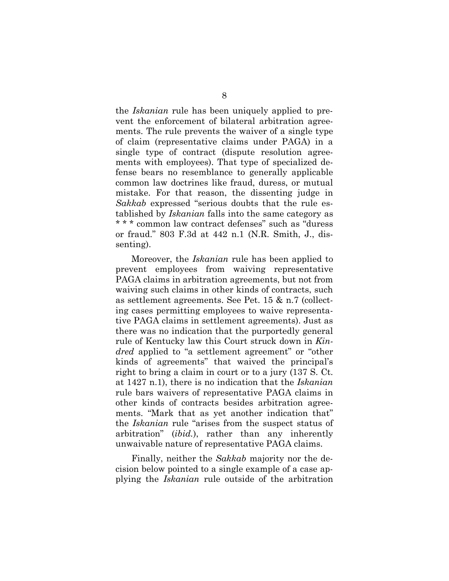the *Iskanian* rule has been uniquely applied to prevent the enforcement of bilateral arbitration agreements. The rule prevents the waiver of a single type of claim (representative claims under PAGA) in a single type of contract (dispute resolution agreements with employees). That type of specialized defense bears no resemblance to generally applicable common law doctrines like fraud, duress, or mutual mistake. For that reason, the dissenting judge in *Sakkab* expressed "serious doubts that the rule established by *Iskanian* falls into the same category as \* \* \* common law contract defenses" such as "duress or fraud." 803 F.3d at 442 n.1 (N.R. Smith, J., dissenting).

Moreover, the *Iskanian* rule has been applied to prevent employees from waiving representative PAGA claims in arbitration agreements, but not from waiving such claims in other kinds of contracts, such as settlement agreements. See Pet. 15 & n.7 (collecting cases permitting employees to waive representative PAGA claims in settlement agreements). Just as there was no indication that the purportedly general rule of Kentucky law this Court struck down in *Kindred* applied to "a settlement agreement" or "other kinds of agreements" that waived the principal's right to bring a claim in court or to a jury (137 S. Ct. at 1427 n.1), there is no indication that the *Iskanian* rule bars waivers of representative PAGA claims in other kinds of contracts besides arbitration agreements. "Mark that as yet another indication that" the *Iskanian* rule "arises from the suspect status of arbitration" (*ibid.*), rather than any inherently unwaivable nature of representative PAGA claims.

Finally, neither the *Sakkab* majority nor the decision below pointed to a single example of a case applying the *Iskanian* rule outside of the arbitration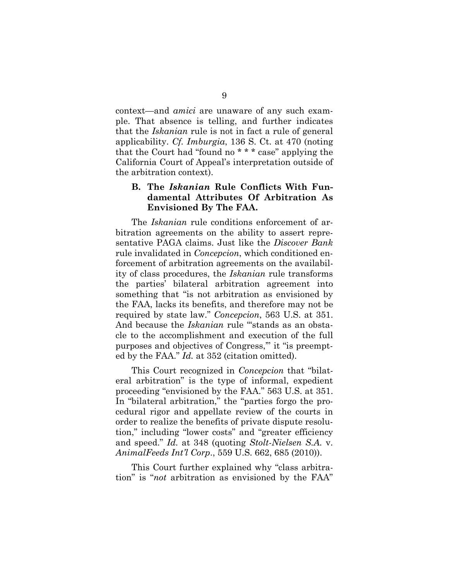context—and *amici* are unaware of any such example. That absence is telling, and further indicates that the *Iskanian* rule is not in fact a rule of general applicability. *Cf. Imburgia*, 136 S. Ct. at 470 (noting that the Court had "found no \* \* \* case" applying the California Court of Appeal's interpretation outside of the arbitration context).

### **B. The** *Iskanian* **Rule Conflicts With Fundamental Attributes Of Arbitration As Envisioned By The FAA.**

The *Iskanian* rule conditions enforcement of arbitration agreements on the ability to assert representative PAGA claims. Just like the *Discover Bank* rule invalidated in *Concepcion*, which conditioned enforcement of arbitration agreements on the availability of class procedures, the *Iskanian* rule transforms the parties' bilateral arbitration agreement into something that "is not arbitration as envisioned by the FAA, lacks its benefits, and therefore may not be required by state law." *Concepcion*, 563 U.S. at 351. And because the *Iskanian* rule "stands as an obstacle to the accomplishment and execution of the full purposes and objectives of Congress,'" it "is preempted by the FAA." *Id.* at 352 (citation omitted).

This Court recognized in *Concepcion* that "bilateral arbitration" is the type of informal, expedient proceeding "envisioned by the FAA." 563 U.S. at 351. In "bilateral arbitration," the "parties forgo the procedural rigor and appellate review of the courts in order to realize the benefits of private dispute resolution," including "lower costs" and "greater efficiency and speed." *Id.* at 348 (quoting *Stolt-Nielsen S.A.* v. *AnimalFeeds Int'l Corp*., 559 U.S. 662, 685 (2010)).

This Court further explained why "class arbitration" is "*not* arbitration as envisioned by the FAA"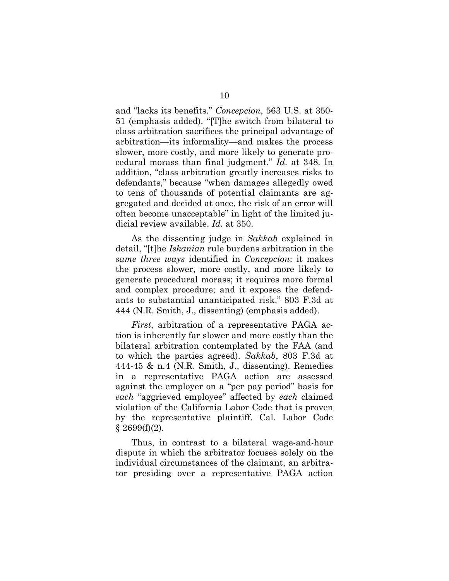and "lacks its benefits." *Concepcion*, 563 U.S. at 350- 51 (emphasis added). "[T]he switch from bilateral to class arbitration sacrifices the principal advantage of arbitration—its informality—and makes the process slower, more costly, and more likely to generate procedural morass than final judgment." *Id.* at 348. In addition, "class arbitration greatly increases risks to defendants," because "when damages allegedly owed to tens of thousands of potential claimants are aggregated and decided at once, the risk of an error will often become unacceptable" in light of the limited judicial review available. *Id.* at 350.

As the dissenting judge in *Sakkab* explained in detail, "[t]he *Iskanian* rule burdens arbitration in the *same three ways* identified in *Concepcion*: it makes the process slower, more costly, and more likely to generate procedural morass; it requires more formal and complex procedure; and it exposes the defendants to substantial unanticipated risk." 803 F.3d at 444 (N.R. Smith, J., dissenting) (emphasis added).

*First*, arbitration of a representative PAGA action is inherently far slower and more costly than the bilateral arbitration contemplated by the FAA (and to which the parties agreed). *Sakkab*, 803 F.3d at 444-45 & n.4 (N.R. Smith, J., dissenting). Remedies in a representative PAGA action are assessed against the employer on a "per pay period" basis for *each* "aggrieved employee" affected by *each* claimed violation of the California Labor Code that is proven by the representative plaintiff. Cal. Labor Code  $§$  2699(f)(2).

Thus, in contrast to a bilateral wage-and-hour dispute in which the arbitrator focuses solely on the individual circumstances of the claimant, an arbitrator presiding over a representative PAGA action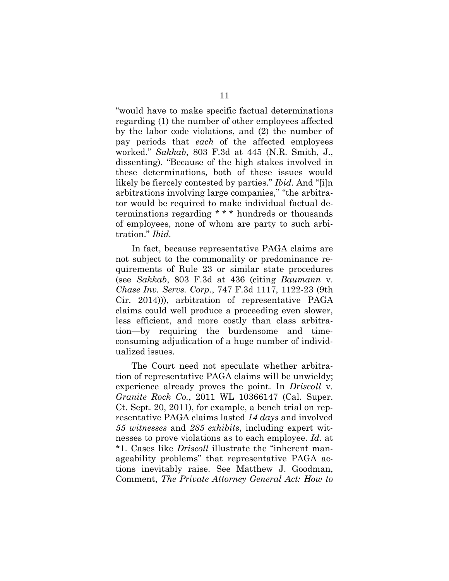"would have to make specific factual determinations regarding (1) the number of other employees affected by the labor code violations, and (2) the number of pay periods that *each* of the affected employees worked." *Sakkab*, 803 F.3d at 445 (N.R. Smith, J., dissenting). "Because of the high stakes involved in these determinations, both of these issues would likely be fiercely contested by parties." *Ibid*. And "[i]n arbitrations involving large companies," "the arbitrator would be required to make individual factual determinations regarding \* \* \* hundreds or thousands of employees, none of whom are party to such arbitration." *Ibid.*

In fact, because representative PAGA claims are not subject to the commonality or predominance requirements of Rule 23 or similar state procedures (see *Sakkab*, 803 F.3d at 436 (citing *Baumann* v. *Chase Inv. Servs. Corp.*, 747 F.3d 1117, 1122-23 (9th Cir. 2014))), arbitration of representative PAGA claims could well produce a proceeding even slower, less efficient, and more costly than class arbitration—by requiring the burdensome and timeconsuming adjudication of a huge number of individualized issues.

The Court need not speculate whether arbitration of representative PAGA claims will be unwieldy; experience already proves the point. In *Driscoll* v. *Granite Rock Co.*, 2011 WL 10366147 (Cal. Super. Ct. Sept. 20, 2011), for example, a bench trial on representative PAGA claims lasted *14 days* and involved *55 witnesses* and *285 exhibits*, including expert witnesses to prove violations as to each employee. *Id.* at \*1. Cases like *Driscoll* illustrate the "inherent manageability problems" that representative PAGA actions inevitably raise. See Matthew J. Goodman, Comment, *The Private Attorney General Act: How to*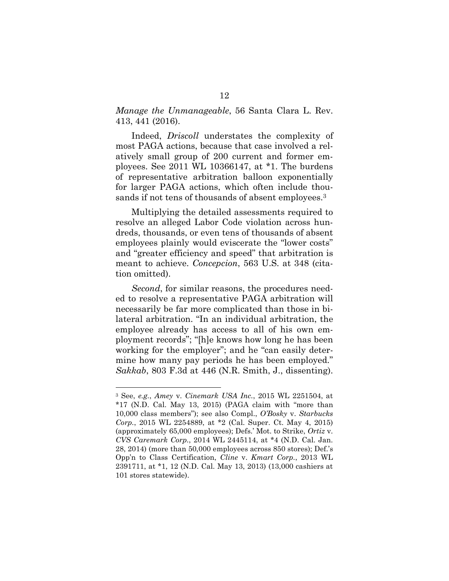*Manage the Unmanageable*, 56 Santa Clara L. Rev. 413, 441 (2016).

Indeed, *Driscoll* understates the complexity of most PAGA actions, because that case involved a relatively small group of 200 current and former employees. See 2011 WL 10366147, at \*1. The burdens of representative arbitration balloon exponentially for larger PAGA actions, which often include thousands if not tens of thousands of absent employees.<sup>3</sup>

Multiplying the detailed assessments required to resolve an alleged Labor Code violation across hundreds, thousands, or even tens of thousands of absent employees plainly would eviscerate the "lower costs" and "greater efficiency and speed" that arbitration is meant to achieve. *Concepcion*, 563 U.S. at 348 (citation omitted).

*Second*, for similar reasons, the procedures needed to resolve a representative PAGA arbitration will necessarily be far more complicated than those in bilateral arbitration. "In an individual arbitration, the employee already has access to all of his own employment records"; "[h]e knows how long he has been working for the employer"; and he "can easily determine how many pay periods he has been employed." *Sakkab*, 803 F.3d at 446 (N.R. Smith, J., dissenting).

<sup>3</sup> See, *e.g.*, *Amey* v. *Cinemark USA Inc.*, 2015 WL 2251504, at \*17 (N.D. Cal. May 13, 2015) (PAGA claim with "more than 10,000 class members"); see also Compl., *O'Bosky* v. *Starbucks Corp.*, 2015 WL 2254889, at \*2 (Cal. Super. Ct. May 4, 2015) (approximately 65,000 employees); Defs.' Mot. to Strike, *Ortiz* v. *CVS Caremark Corp.*, 2014 WL 2445114, at \*4 (N.D. Cal. Jan. 28, 2014) (more than 50,000 employees across 850 stores); Def.'s Opp'n to Class Certification, *Cline* v. *Kmart Corp.*, 2013 WL 2391711, at \*1, 12 (N.D. Cal. May 13, 2013) (13,000 cashiers at 101 stores statewide).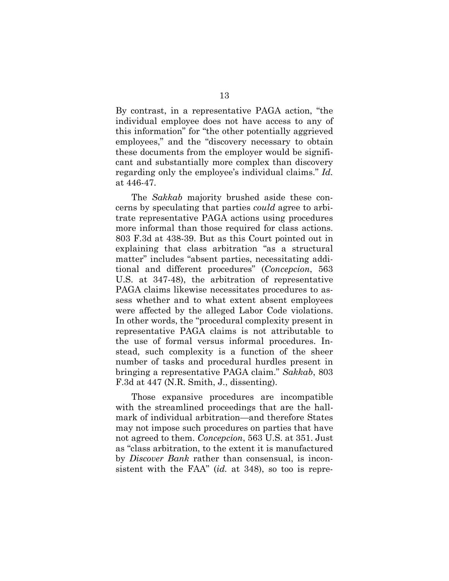By contrast, in a representative PAGA action, "the individual employee does not have access to any of this information" for "the other potentially aggrieved employees," and the "discovery necessary to obtain these documents from the employer would be significant and substantially more complex than discovery regarding only the employee's individual claims." *Id.* at 446-47.

The *Sakkab* majority brushed aside these concerns by speculating that parties *could* agree to arbitrate representative PAGA actions using procedures more informal than those required for class actions. 803 F.3d at 438-39. But as this Court pointed out in explaining that class arbitration "as a structural matter" includes "absent parties, necessitating additional and different procedures" (*Concepcion*, 563 U.S. at 347-48), the arbitration of representative PAGA claims likewise necessitates procedures to assess whether and to what extent absent employees were affected by the alleged Labor Code violations. In other words, the "procedural complexity present in representative PAGA claims is not attributable to the use of formal versus informal procedures. Instead, such complexity is a function of the sheer number of tasks and procedural hurdles present in bringing a representative PAGA claim." *Sakkab*, 803 F.3d at 447 (N.R. Smith, J., dissenting).

Those expansive procedures are incompatible with the streamlined proceedings that are the hallmark of individual arbitration—and therefore States may not impose such procedures on parties that have not agreed to them. *Concepcion*, 563 U.S. at 351. Just as "class arbitration, to the extent it is manufactured by *Discover Bank* rather than consensual, is inconsistent with the FAA" (*id.* at 348), so too is repre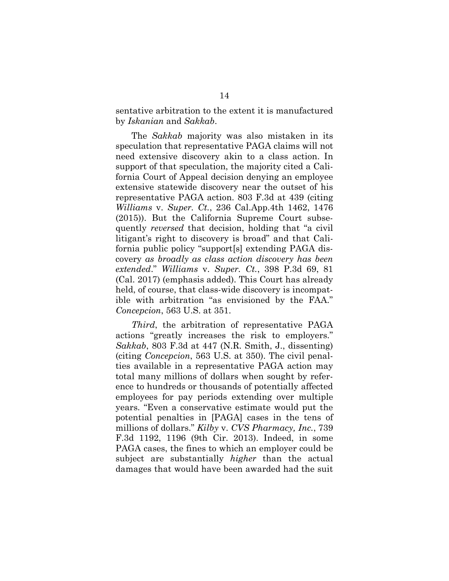sentative arbitration to the extent it is manufactured by *Iskanian* and *Sakkab*.

The *Sakkab* majority was also mistaken in its speculation that representative PAGA claims will not need extensive discovery akin to a class action. In support of that speculation, the majority cited a California Court of Appeal decision denying an employee extensive statewide discovery near the outset of his representative PAGA action. 803 F.3d at 439 (citing *Williams* v. *Super. Ct.*, 236 Cal.App.4th 1462, 1476 (2015)). But the California Supreme Court subsequently *reversed* that decision, holding that "a civil litigant's right to discovery is broad" and that California public policy "support[s] extending PAGA discovery *as broadly as class action discovery has been extended*." *Williams* v. *Super. Ct.*, 398 P.3d 69, 81 (Cal. 2017) (emphasis added). This Court has already held, of course, that class-wide discovery is incompatible with arbitration "as envisioned by the FAA." *Concepcion*, 563 U.S. at 351.

*Third*, the arbitration of representative PAGA actions "greatly increases the risk to employers." *Sakkab*, 803 F.3d at 447 (N.R. Smith, J., dissenting) (citing *Concepcion*, 563 U.S. at 350). The civil penalties available in a representative PAGA action may total many millions of dollars when sought by reference to hundreds or thousands of potentially affected employees for pay periods extending over multiple years. "Even a conservative estimate would put the potential penalties in [PAGA] cases in the tens of millions of dollars." *Kilby* v. *CVS Pharmacy, Inc.*, 739 F.3d 1192, 1196 (9th Cir. 2013). Indeed, in some PAGA cases, the fines to which an employer could be subject are substantially *higher* than the actual damages that would have been awarded had the suit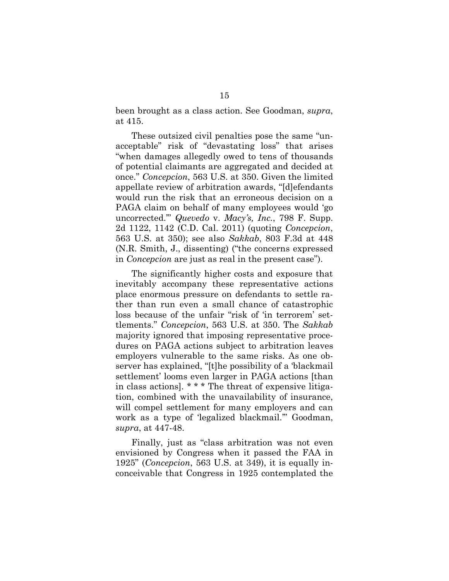been brought as a class action. See Goodman, *supra*, at 415.

These outsized civil penalties pose the same "unacceptable" risk of "devastating loss" that arises "when damages allegedly owed to tens of thousands of potential claimants are aggregated and decided at once." *Concepcion*, 563 U.S. at 350. Given the limited appellate review of arbitration awards, "[d]efendants would run the risk that an erroneous decision on a PAGA claim on behalf of many employees would 'go uncorrected.'" *Quevedo* v. *Macy's, Inc.*, 798 F. Supp. 2d 1122, 1142 (C.D. Cal. 2011) (quoting *Concepcion*, 563 U.S. at 350); see also *Sakkab*, 803 F.3d at 448 (N.R. Smith, J., dissenting) ("the concerns expressed in *Concepcion* are just as real in the present case").

The significantly higher costs and exposure that inevitably accompany these representative actions place enormous pressure on defendants to settle rather than run even a small chance of catastrophic loss because of the unfair "risk of 'in terrorem' settlements." *Concepcion*, 563 U.S. at 350. The *Sakkab* majority ignored that imposing representative procedures on PAGA actions subject to arbitration leaves employers vulnerable to the same risks. As one observer has explained, "[t]he possibility of a 'blackmail settlement' looms even larger in PAGA actions [than in class actions]. \* \* \* The threat of expensive litigation, combined with the unavailability of insurance, will compel settlement for many employers and can work as a type of 'legalized blackmail.'" Goodman, *supra*, at 447-48.

Finally, just as "class arbitration was not even envisioned by Congress when it passed the FAA in 1925" (*Concepcion*, 563 U.S. at 349), it is equally inconceivable that Congress in 1925 contemplated the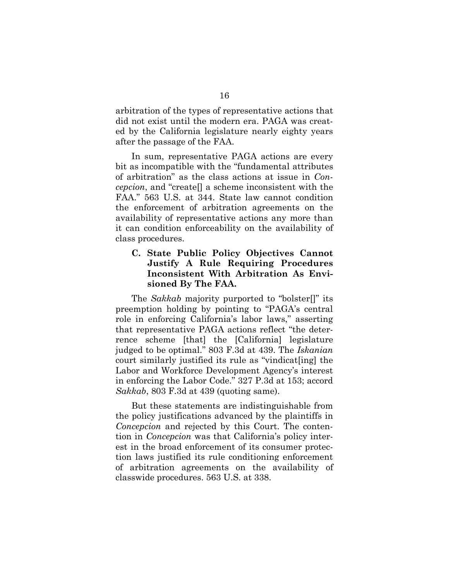arbitration of the types of representative actions that did not exist until the modern era. PAGA was created by the California legislature nearly eighty years after the passage of the FAA.

In sum, representative PAGA actions are every bit as incompatible with the "fundamental attributes of arbitration" as the class actions at issue in *Concepcion*, and "create[] a scheme inconsistent with the FAA." 563 U.S. at 344. State law cannot condition the enforcement of arbitration agreements on the availability of representative actions any more than it can condition enforceability on the availability of class procedures.

### **C. State Public Policy Objectives Cannot Justify A Rule Requiring Procedures Inconsistent With Arbitration As Envisioned By The FAA.**

The *Sakkab* majority purported to "bolster[]" its preemption holding by pointing to "PAGA's central role in enforcing California's labor laws," asserting that representative PAGA actions reflect "the deterrence scheme [that] the [California] legislature judged to be optimal." 803 F.3d at 439. The *Iskanian* court similarly justified its rule as "vindicat[ing] the Labor and Workforce Development Agency's interest in enforcing the Labor Code." 327 P.3d at 153; accord *Sakkab*, 803 F.3d at 439 (quoting same).

But these statements are indistinguishable from the policy justifications advanced by the plaintiffs in *Concepcion* and rejected by this Court. The contention in *Concepcion* was that California's policy interest in the broad enforcement of its consumer protection laws justified its rule conditioning enforcement of arbitration agreements on the availability of classwide procedures. 563 U.S. at 338.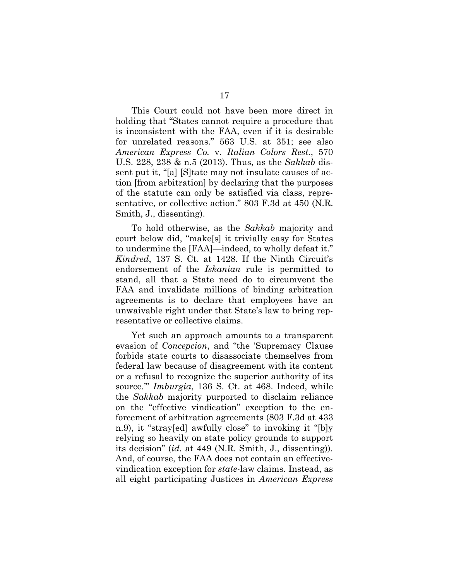This Court could not have been more direct in holding that "States cannot require a procedure that is inconsistent with the FAA, even if it is desirable for unrelated reasons." 563 U.S. at 351; see also *American Express Co.* v. *Italian Colors Rest.*, 570 U.S. 228, 238 & n.5 (2013). Thus, as the *Sakkab* dissent put it, "[a] [S]tate may not insulate causes of action [from arbitration] by declaring that the purposes of the statute can only be satisfied via class, representative, or collective action." 803 F.3d at 450 (N.R. Smith, J., dissenting).

To hold otherwise, as the *Sakkab* majority and court below did, "make[s] it trivially easy for States to undermine the [FAA]—indeed, to wholly defeat it." *Kindred*, 137 S. Ct. at 1428. If the Ninth Circuit's endorsement of the *Iskanian* rule is permitted to stand, all that a State need do to circumvent the FAA and invalidate millions of binding arbitration agreements is to declare that employees have an unwaivable right under that State's law to bring representative or collective claims.

Yet such an approach amounts to a transparent evasion of *Concepcion*, and "the 'Supremacy Clause forbids state courts to disassociate themselves from federal law because of disagreement with its content or a refusal to recognize the superior authority of its source.'" *Imburgia*, 136 S. Ct. at 468. Indeed, while the *Sakkab* majority purported to disclaim reliance on the "effective vindication" exception to the enforcement of arbitration agreements (803 F.3d at 433 n.9), it "stray[ed] awfully close" to invoking it "[b]y relying so heavily on state policy grounds to support its decision" (*id.* at 449 (N.R. Smith, J., dissenting)). And, of course, the FAA does not contain an effectivevindication exception for *state*-law claims. Instead, as all eight participating Justices in *American Express*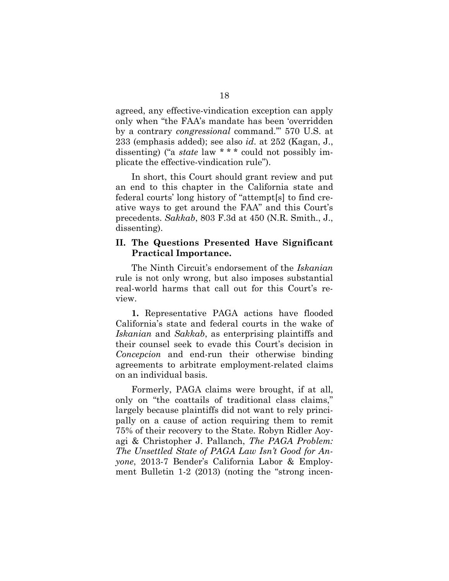agreed, any effective-vindication exception can apply only when "the FAA's mandate has been 'overridden by a contrary *congressional* command.'" 570 U.S. at 233 (emphasis added); see also *id*. at 252 (Kagan, J., dissenting) ("a *state* law \* \* \* could not possibly implicate the effective-vindication rule").

In short, this Court should grant review and put an end to this chapter in the California state and federal courts' long history of "attempt[s] to find creative ways to get around the FAA" and this Court's precedents. *Sakkab*, 803 F.3d at 450 (N.R. Smith., J., dissenting).

### **II. The Questions Presented Have Significant Practical Importance.**

The Ninth Circuit's endorsement of the *Iskanian* rule is not only wrong, but also imposes substantial real-world harms that call out for this Court's review.

**1.** Representative PAGA actions have flooded California's state and federal courts in the wake of *Iskanian* and *Sakkab*, as enterprising plaintiffs and their counsel seek to evade this Court's decision in *Concepcion* and end-run their otherwise binding agreements to arbitrate employment-related claims on an individual basis.

Formerly, PAGA claims were brought, if at all, only on "the coattails of traditional class claims," largely because plaintiffs did not want to rely principally on a cause of action requiring them to remit 75% of their recovery to the State. Robyn Ridler Aoyagi & Christopher J. Pallanch, *The PAGA Problem: The Unsettled State of PAGA Law Isn't Good for Anyone*, 2013-7 Bender's California Labor & Employment Bulletin 1-2 (2013) (noting the "strong incen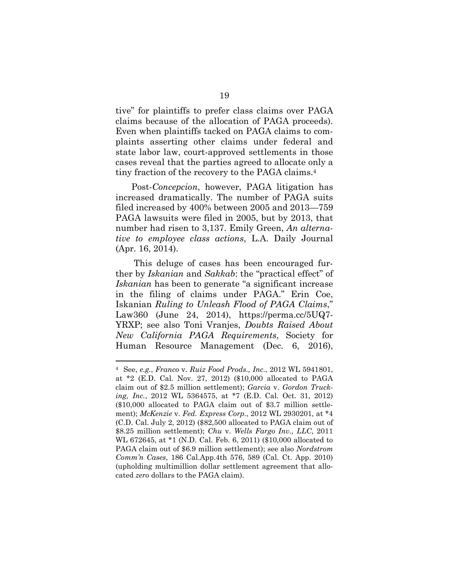tive" for plaintiffs to prefer class claims over PAGA claims because of the allocation of PAGA proceeds). Even when plaintiffs tacked on PAGA claims to complaints asserting other claims under federal and state labor law, court-approved settlements in those cases reveal that the parties agreed to allocate only a tiny fraction of the recovery to the PAGA claims.<sup>4</sup>

Post-*Concepcion*, however, PAGA litigation has increased dramatically. The number of PAGA suits filed increased by 400% between 2005 and 2013—759 PAGA lawsuits were filed in 2005, but by 2013, that number had risen to 3,137. Emily Green, *An alternative to employee class actions*, L.A. Daily Journal (Apr. 16, 2014).

This deluge of cases has been encouraged further by *Iskanian* and *Sakkab*: the "practical effect" of *Iskanian* has been to generate "a significant increase in the filing of claims under PAGA." Erin Coe, Iskanian *Ruling to Unleash Flood of PAGA Claims*," Law360 (June 24, 2014), https://perma.cc/5UQ7- YRXP; see also Toni Vranjes, *Doubts Raised About New California PAGA Requirements*, Society for Human Resource Management (Dec. 6, 2016),

<sup>4</sup> See, *e.g.*, *Franco* v. *Ruiz Food Prods., Inc.*, 2012 WL 5941801, at \*2 (E.D. Cal. Nov. 27, 2012) (\$10,000 allocated to PAGA claim out of \$2.5 million settlement); *Garcia* v. *Gordon Trucking, Inc.*, 2012 WL 5364575, at \*7 (E.D. Cal. Oct. 31, 2012) (\$10,000 allocated to PAGA claim out of \$3.7 million settlement); *McKenzie* v. *Fed. Express Corp.*, 2012 WL 2930201, at \*4 (C.D. Cal. July 2, 2012) (\$82,500 allocated to PAGA claim out of \$8.25 million settlement); *Chu* v. *Wells Fargo Inv., LLC*, 2011 WL 672645, at \*1 (N.D. Cal. Feb. 6, 2011) (\$10,000 allocated to PAGA claim out of \$6.9 million settlement); see also *Nordstrom Comm'n Cases*, 186 Cal.App.4th 576, 589 (Cal. Ct. App. 2010) (upholding multimillion dollar settlement agreement that allocated *zero* dollars to the PAGA claim).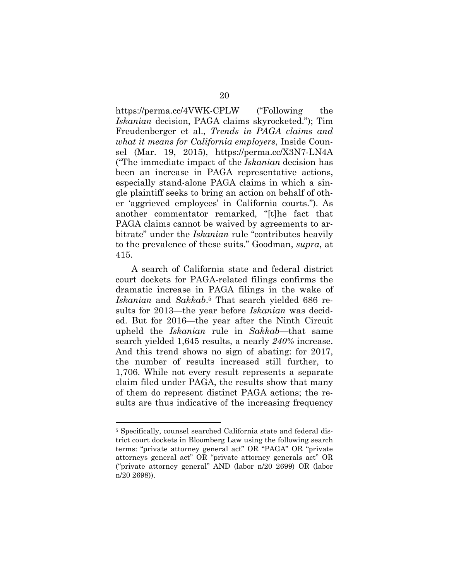https://perma.cc/4VWK-CPLW ("Following the *Iskanian* decision, PAGA claims skyrocketed."); Tim Freudenberger et al., *Trends in PAGA claims and what it means for California employers*, Inside Counsel (Mar. 19, 2015), https://perma.cc/X3N7-LN4A ("The immediate impact of the *Iskanian* decision has been an increase in PAGA representative actions, especially stand-alone PAGA claims in which a single plaintiff seeks to bring an action on behalf of other 'aggrieved employees' in California courts."). As another commentator remarked, "[t]he fact that PAGA claims cannot be waived by agreements to arbitrate" under the *Iskanian* rule "contributes heavily to the prevalence of these suits." Goodman, *supra*, at 415.

A search of California state and federal district court dockets for PAGA-related filings confirms the dramatic increase in PAGA filings in the wake of *Iskanian* and *Sakkab*. <sup>5</sup> That search yielded 686 results for 2013—the year before *Iskanian* was decided. But for 2016—the year after the Ninth Circuit upheld the *Iskanian* rule in *Sakkab*—that same search yielded 1,645 results, a nearly *240%* increase. And this trend shows no sign of abating: for 2017, the number of results increased still further, to 1,706. While not every result represents a separate claim filed under PAGA, the results show that many of them do represent distinct PAGA actions; the results are thus indicative of the increasing frequency

<sup>5</sup> Specifically, counsel searched California state and federal district court dockets in Bloomberg Law using the following search terms: "private attorney general act" OR "PAGA" OR "private attorneys general act" OR "private attorney generals act" OR ("private attorney general" AND (labor n/20 2699) OR (labor n/20 2698)).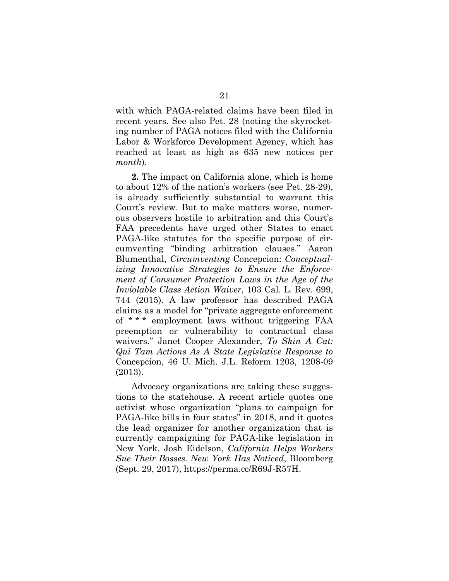with which PAGA-related claims have been filed in recent years. See also Pet. 28 (noting the skyrocketing number of PAGA notices filed with the California Labor & Workforce Development Agency, which has reached at least as high as 635 new notices per *month*).

**2.** The impact on California alone, which is home to about 12% of the nation's workers (see Pet. 28-29), is already sufficiently substantial to warrant this Court's review. But to make matters worse, numerous observers hostile to arbitration and this Court's FAA precedents have urged other States to enact PAGA-like statutes for the specific purpose of circumventing "binding arbitration clauses." Aaron Blumenthal, *Circumventing* Concepcion: *Conceptualizing Innovative Strategies to Ensure the Enforcement of Consumer Protection Laws in the Age of the Inviolable Class Action Waiver*, 103 Cal. L. Rev. 699, 744 (2015). A law professor has described PAGA claims as a model for "private aggregate enforcement of \* \* \* employment laws without triggering FAA preemption or vulnerability to contractual class waivers." Janet Cooper Alexander, *To Skin A Cat: Qui Tam Actions As A State Legislative Response to* Concepcion, 46 U. Mich. J.L. Reform 1203, 1208-09 (2013).

Advocacy organizations are taking these suggestions to the statehouse. A recent article quotes one activist whose organization "plans to campaign for PAGA-like bills in four states" in 2018, and it quotes the lead organizer for another organization that is currently campaigning for PAGA-like legislation in New York. Josh Eidelson, *California Helps Workers Sue Their Bosses. New York Has Noticed*, Bloomberg (Sept. 29, 2017), https://perma.cc/R69J-R57H.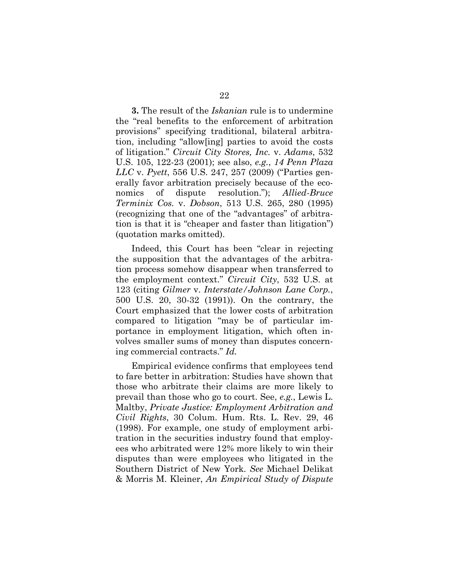**3.** The result of the *Iskanian* rule is to undermine the "real benefits to the enforcement of arbitration provisions" specifying traditional, bilateral arbitration, including "allow[ing] parties to avoid the costs of litigation." *Circuit City Stores, Inc.* v. *Adams*, 532 U.S. 105, 122-23 (2001); see also, *e.g.*, *14 Penn Plaza LLC* v. *Pyett*, 556 U.S. 247, 257 (2009) ("Parties generally favor arbitration precisely because of the economics of dispute resolution."); *Allied-Bruce Terminix Cos.* v. *Dobson*, 513 U.S. 265, 280 (1995) (recognizing that one of the "advantages" of arbitration is that it is "cheaper and faster than litigation") (quotation marks omitted).

Indeed, this Court has been "clear in rejecting the supposition that the advantages of the arbitration process somehow disappear when transferred to the employment context." *Circuit City*, 532 U.S. at 123 (citing *Gilmer* v. *Interstate/Johnson Lane Corp.*, 500 U.S. 20, 30-32 (1991)). On the contrary, the Court emphasized that the lower costs of arbitration compared to litigation "may be of particular importance in employment litigation, which often involves smaller sums of money than disputes concerning commercial contracts." *Id.*

Empirical evidence confirms that employees tend to fare better in arbitration: Studies have shown that those who arbitrate their claims are more likely to prevail than those who go to court. See, *e.g.*, Lewis L. Maltby, *Private Justice: Employment Arbitration and Civil Rights*, 30 Colum. Hum. Rts. L. Rev. 29, 46 (1998). For example, one study of employment arbitration in the securities industry found that employees who arbitrated were 12% more likely to win their disputes than were employees who litigated in the Southern District of New York. *See* Michael Delikat & Morris M. Kleiner, *An Empirical Study of Dispute*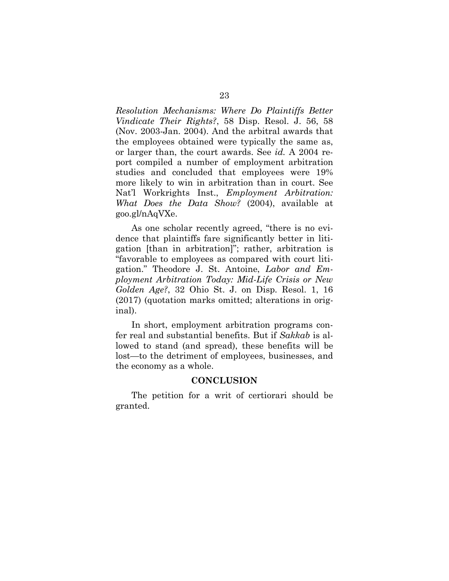*Resolution Mechanisms: Where Do Plaintiffs Better Vindicate Their Rights?*, 58 Disp. Resol. J. 56, 58 (Nov. 2003-Jan. 2004). And the arbitral awards that the employees obtained were typically the same as, or larger than, the court awards. See *id.* A 2004 report compiled a number of employment arbitration studies and concluded that employees were 19% more likely to win in arbitration than in court. See Nat'l Workrights Inst., *Employment Arbitration: What Does the Data Show?* (2004), available at goo.gl/nAqVXe.

As one scholar recently agreed, "there is no evidence that plaintiffs fare significantly better in litigation [than in arbitration]"; rather, arbitration is "favorable to employees as compared with court litigation." Theodore J. St. Antoine, *Labor and Employment Arbitration Today: Mid-Life Crisis or New Golden Age?*, 32 Ohio St. J. on Disp. Resol. 1, 16 (2017) (quotation marks omitted; alterations in original).

In short, employment arbitration programs confer real and substantial benefits. But if *Sakkab* is allowed to stand (and spread), these benefits will be lost—to the detriment of employees, businesses, and the economy as a whole.

#### **CONCLUSION**

The petition for a writ of certiorari should be granted.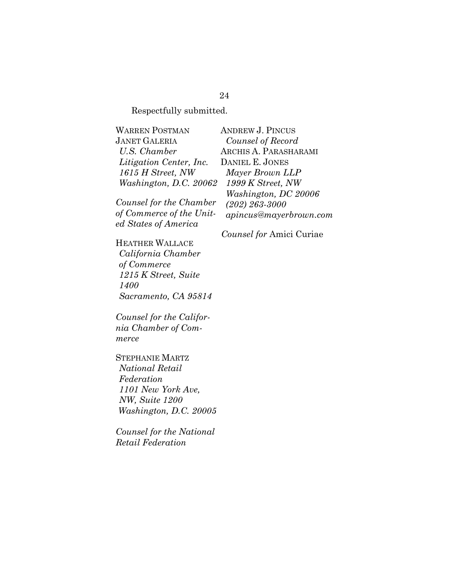Respectfully submitted.

WARREN POSTMAN JANET GALERIA *U.S. Chamber Litigation Center, Inc. 1615 H Street, NW Washington, D.C. 20062*

*Counsel for the Chamber of Commerce of the United States of America*

HEATHER WALLACE *California Chamber of Commerce 1215 K Street, Suite 1400 Sacramento, CA 95814*

*Counsel for the California Chamber of Commerce*

STEPHANIE MARTZ *National Retail Federation 1101 New York Ave, NW, Suite 1200 Washington, D.C. 20005*

*Counsel for the National Retail Federation*

ANDREW J. PINCUS *Counsel of Record* ARCHIS A. PARASHARAMI DANIEL E. JONES *Mayer Brown LLP 1999 K Street, NW Washington, DC 20006 (202) 263-3000 apincus@mayerbrown.com*

*Counsel for* Amici Curiae